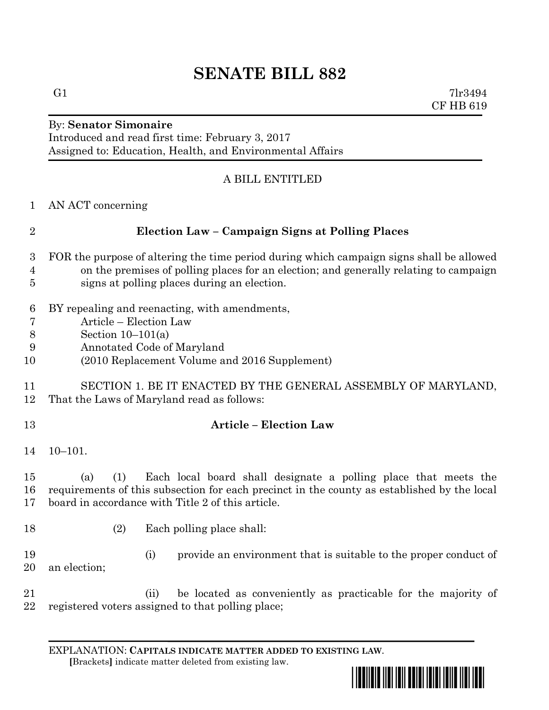## **SENATE BILL 882**

G1  $7\text{lr}3494$ CF HB 619

# By: **Senator Simonaire**

Introduced and read first time: February 3, 2017 Assigned to: Education, Health, and Environmental Affairs

## A BILL ENTITLED

| $\mathbf{1}$     | AN ACT concerning                                                                           |
|------------------|---------------------------------------------------------------------------------------------|
| $\overline{2}$   | Election Law - Campaign Signs at Polling Places                                             |
| $\boldsymbol{3}$ | FOR the purpose of altering the time period during which campaign signs shall be allowed    |
| 4                | on the premises of polling places for an election; and generally relating to campaign       |
| 5                | signs at polling places during an election.                                                 |
| $\boldsymbol{6}$ | BY repealing and reenacting, with amendments,                                               |
| 7                | Article - Election Law                                                                      |
| 8                | Section $10-101(a)$                                                                         |
| 9                | Annotated Code of Maryland                                                                  |
| 10               | (2010 Replacement Volume and 2016 Supplement)                                               |
| 11               | SECTION 1. BE IT ENACTED BY THE GENERAL ASSEMBLY OF MARYLAND,                               |
| 12               | That the Laws of Maryland read as follows:                                                  |
| 13               | <b>Article - Election Law</b>                                                               |
| 14               | $10 - 101.$                                                                                 |
| 15               | Each local board shall designate a polling place that meets the<br>(a)<br>(1)               |
| 16               | requirements of this subsection for each precinct in the county as established by the local |
| 17               | board in accordance with Title 2 of this article.                                           |
| 18               | (2)<br>Each polling place shall:                                                            |
|                  |                                                                                             |
| 19               | provide an environment that is suitable to the proper conduct of<br>(i)                     |
| 20               | an election;                                                                                |
| 21               | be located as conveniently as practicable for the majority of<br>(ii)                       |
| 22               | registered voters assigned to that polling place;                                           |

EXPLANATION: **CAPITALS INDICATE MATTER ADDED TO EXISTING LAW**.  **[**Brackets**]** indicate matter deleted from existing law.

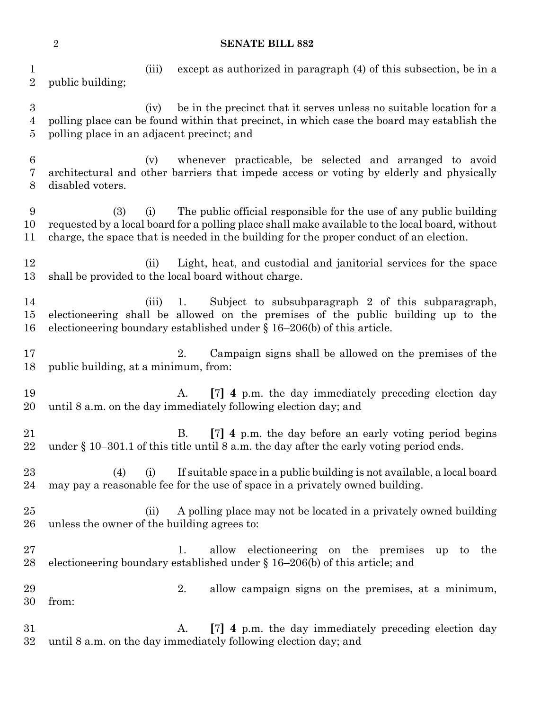### **SENATE BILL 882**

 (iii) except as authorized in paragraph (4) of this subsection, be in a public building;

 (iv) be in the precinct that it serves unless no suitable location for a polling place can be found within that precinct, in which case the board may establish the polling place in an adjacent precinct; and

 (v) whenever practicable, be selected and arranged to avoid architectural and other barriers that impede access or voting by elderly and physically disabled voters.

 (3) (i) The public official responsible for the use of any public building requested by a local board for a polling place shall make available to the local board, without charge, the space that is needed in the building for the proper conduct of an election.

 (ii) Light, heat, and custodial and janitorial services for the space shall be provided to the local board without charge.

 (iii) 1. Subject to subsubparagraph 2 of this subparagraph, electioneering shall be allowed on the premises of the public building up to the electioneering boundary established under § 16–206(b) of this article.

 2. Campaign signs shall be allowed on the premises of the public building, at a minimum, from:

 A. **[**7**] 4** p.m. the day immediately preceding election day until 8 a.m. on the day immediately following election day; and

 B. **[**7**] 4** p.m. the day before an early voting period begins under § 10–301.1 of this title until 8 a.m. the day after the early voting period ends.

 (4) (i) If suitable space in a public building is not available, a local board may pay a reasonable fee for the use of space in a privately owned building.

25 (ii) A polling place may not be located in a privately owned building unless the owner of the building agrees to:

 1. allow electioneering on the premises up to the 28 electioneering boundary established under  $\S 16-206(b)$  of this article; and

 2. allow campaign signs on the premises, at a minimum, from:

 A. **[**7**] 4** p.m. the day immediately preceding election day until 8 a.m. on the day immediately following election day; and